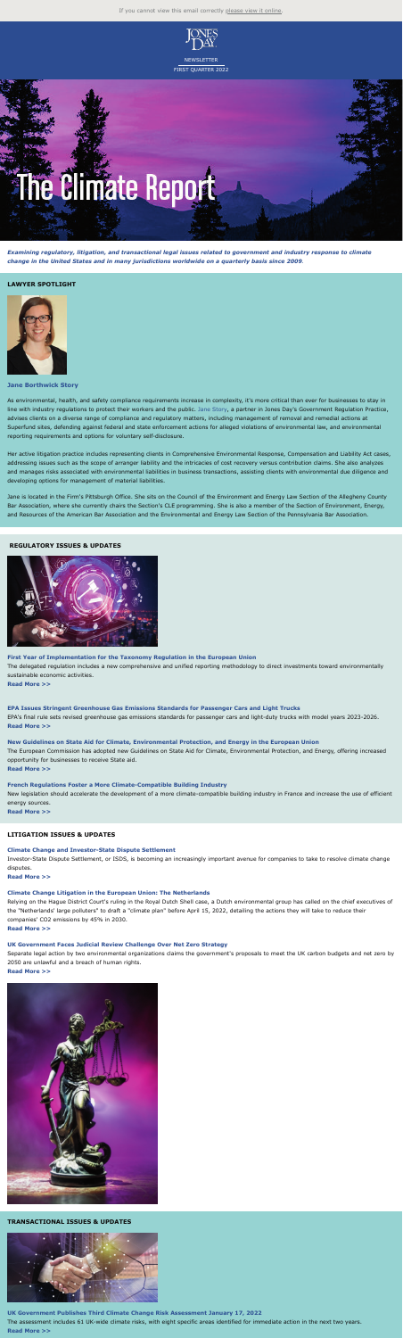



*Examining regulatory, litigation, and transactional legal issues related to government and industry response to climate change in the United States and in many jurisdictions worldwide on a quarterly basis since 2009.*

#### **LAWYER SPOTLIGHT**



**Jane Borthwick Story**

As environmental, health, and safety compliance requirements increase in complexity, it's more critical than ever for businesses to stay in line with industry regulations to protect their workers and the public. [Jane Story](https://www.jonesday.com/en/lawyers/s/jane-story?tab=overview&ExcludePageBreak=true), a partner in Jones Day's Government Regulation Practice, advises clients on a diverse range of compliance and regulatory matters, including management of removal and remedial actions at Superfund sites, defending against federal and state enforcement actions for alleged violations of environmental law, and environmental reporting requirements and options for voluntary self-disclosure.

Her active litigation practice includes representing clients in Comprehensive Environmental Response, Compensation and Liability Act cases, addressing issues such as the scope of arranger liability and the intricacies of cost recovery versus contribution claims. She also analyzes and manages risks associated with environmental liabilities in business transactions, assisting clients with environmental due diligence and developing options for management of material liabilities.

Jane is located in the Firm's Pittsburgh Office. She sits on the Council of the Environment and Energy Law Section of the Allegheny County Bar Association, where she currently chairs the Section's CLE programming. She is also a member of the Section of Environment, Energy, and Resources of the American Bar Association and the Environmental and Energy Law Section of the Pennsylvania Bar Association.

# **REGULATORY ISSUES & UPDATES**



**First Year of Implementation for the Taxonomy Regulation in the European Union** The delegated regulation includes a new comprehensive and unified reporting methodology to direct investments toward environmentally sustainable economic activities. **[Read More >>](https://jonesday-ecommunications.com/277/7039/landing-pages/regulatory--taxonomy-regulation.asp?ExcludePageBreak=true)**

**EPA Issues Stringent Greenhouse Gas Emissions Standards for Passenger Cars and Light Trucks** EPA's final rule sets revised greenhouse gas emissions standards for passenger cars and light-duty trucks with model years 2023-2026. **[Read More >>](https://jonesday-ecommunications.com/277/7039/landing-pages/regulatory--epa.asp?ExcludePageBreak=true)**

**New Guidelines on State Aid for Climate, Environmental Protection, and Energy in the European Union** The European Commission has adopted new Guidelines on State Aid for Climate, Environmental Protection, and Energy, offering increased opportunity for businesses to receive State aid. **[Read More >>](https://jonesday-ecommunications.com/277/7039/landing-pages/regulatory-issues--ceeag.asp?ExcludePageBreak=true)**

### **French Regulations Foster a More Climate-Compatible Building Industry**

New legislation should accelerate the development of a more climate-compatible building industry in France and increase the use of efficient energy sources.

**[Read More >>](https://jonesday-ecommunications.com/277/7039/landing-pages/regulatory--french-regulations.asp?ExcludePageBreak=true)**

### **LITIGATION ISSUES & UPDATES**

### **Climate Change and Investor-State Dispute Settlement**

Investor-State Dispute Settlement, or ISDS, is becoming an increasingly important avenue for companies to take to resolve climate change disputes.

**[Read More >>](https://jonesday-ecommunications.com/277/7039/landing-pages/litigation--isds.asp?ExcludePageBreak=true)**

#### **Climate Change Litigation in the European Union: The Netherlands**

Relying on the Hague District Court's ruling in the Royal Dutch Shell case, a Dutch environmental group has called on the chief executives of the "Netherlands' large polluters" to draft a "climate plan" before April 15, 2022, detailing the actions they will take to reduce their companies' CO2 emissions by 45% in 2030.

**[Read More >>](https://jonesday-ecommunications.com/277/7039/landing-pages/litigation--netherlands.asp?ExcludePageBreak=true)**

#### **UK Government Faces Judicial Review Challenge Over Net Zero Strategy**

Separate legal action by two environmental organizations claims the government's proposals to meet the UK carbon budgets and net zero by 2050 are unlawful and a breach of human rights.

#### **[Read More >>](https://jonesday-ecommunications.com/277/7039/landing-pages/litigation--nzs.asp?ExcludePageBreak=true)**



#### **TRANSACTIONAL ISSUES & UPDATES**



**UK Government Publishes Third Climate Change Risk Assessment January 17, 2022**

The assessment includes 61 UK-wide climate risks, with eight specific areas identified for immediate action in the next two years. **[Read More >>](https://jonesday-ecommunications.com/277/7039/landing-pages/transactional--uk-government.asp?ExcludePageBreak=true)**